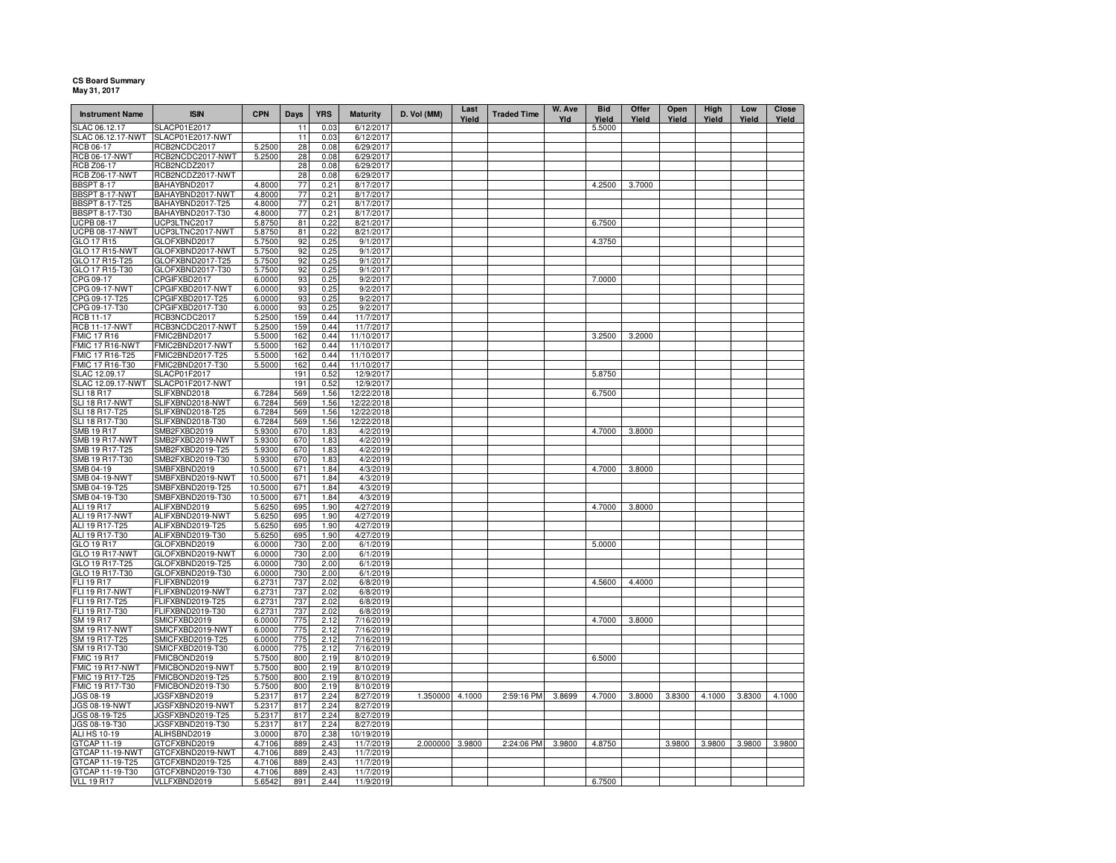## **CS Board Summary May 31, 2017**

| <b>Instrument Name</b>                  | <b>ISIN</b>                          | <b>CPN</b>         | Days       | <b>YRS</b>   | <b>Maturity</b>        | D. Vol (MM)     | Last<br>Yield | <b>Traded Time</b> | W. Ave<br>Yld | <b>Bid</b><br>Yield | Offer<br>Yield | Open<br>Yield | High<br>Yield | Low<br>Yield | Close<br>Yield |
|-----------------------------------------|--------------------------------------|--------------------|------------|--------------|------------------------|-----------------|---------------|--------------------|---------------|---------------------|----------------|---------------|---------------|--------------|----------------|
| SLAC 06.12.17                           | SLACP01E2017                         |                    | 11         | 0.03         | 6/12/2017              |                 |               |                    |               | 5.5000              |                |               |               |              |                |
| SLAC 06.12.17-NWT                       | SLACP01E2017-NWT                     |                    | 11         | 0.03         | 6/12/2017              |                 |               |                    |               |                     |                |               |               |              |                |
| RCB 06-17<br><b>RCB 06-17-NWT</b>       | RCB2NCDC2017<br>RCB2NCDC2017-NWT     | 5.2500<br>5.2500   | 28<br>28   | 0.08<br>0.08 | 6/29/2017<br>6/29/2017 |                 |               |                    |               |                     |                |               |               |              |                |
| <b>RCB Z06-17</b>                       | RCB2NCDZ2017                         |                    | 28         | 0.08         | 6/29/2017              |                 |               |                    |               |                     |                |               |               |              |                |
| <b>RCB Z06-17-NWT</b>                   | RCB2NCDZ2017-NWT                     |                    | 28         | 0.08         | 6/29/2017              |                 |               |                    |               |                     |                |               |               |              |                |
| <b>BBSPT 8-17</b>                       | BAHAYBND2017                         | 4.8000             | 77         | 0.21         | 8/17/2017              |                 |               |                    |               | 4.2500              | 3.7000         |               |               |              |                |
|                                         | BAHAYBND2017-NWT                     | 4.8000             | 77         | 0.21         | 8/17/2017              |                 |               |                    |               |                     |                |               |               |              |                |
| BBSPT 8-17-NWT<br>BBSPT 8-17-T25        | BAHAYBND2017-T25                     | 4.8000             | 77         | 0.21         | 8/17/2017              |                 |               |                    |               |                     |                |               |               |              |                |
| <b>BBSPT 8-17-T30</b>                   | BAHAYBND2017-T30                     | 4.8000             | 77         | 0.21         | 8/17/2017              |                 |               |                    |               |                     |                |               |               |              |                |
| <b>UCPB 08-17</b>                       | UCP3LTNC2017                         | 5.8750             | 81         | 0.22         | 8/21/2017              |                 |               |                    |               | 6.7500              |                |               |               |              |                |
| <b>UCPB 08-17-NWT</b>                   | UCP3LTNC2017-NWT                     | 5.8750             | 81         | 0.22         | 8/21/2017              |                 |               |                    |               |                     |                |               |               |              |                |
| GLO 17 R15                              | GLOFXBND2017                         | 5.7500             | 92         | 0.25         | 9/1/2017               |                 |               |                    |               | 4.3750              |                |               |               |              |                |
| <b>GLO 17 R15-NWT</b>                   | GLOFXBND2017-NWT                     | 5.7500             | 92         | 0.25         | 9/1/2017               |                 |               |                    |               |                     |                |               |               |              |                |
| GLO 17 R15-T25<br>GLO 17 R15-T30        | GLOFXBND2017-T25<br>GLOFXBND2017-T30 | 5.7500<br>5.7500   | 92<br>92   | 0.25<br>0.25 | 9/1/2017<br>9/1/2017   |                 |               |                    |               |                     |                |               |               |              |                |
| CPG 09-17                               | CPGIFXBD2017                         | 6.0000             | 93         | 0.25         | 9/2/2017               |                 |               |                    |               | 7.0000              |                |               |               |              |                |
| CPG 09-17-NWT                           | CPGIFXBD2017-NWT                     | 6.0000             | 93         | 0.25         | 9/2/2017               |                 |               |                    |               |                     |                |               |               |              |                |
| CPG 09-17-T25                           | CPGIFXBD2017-T25                     | 6.0000             | 93         | 0.25         | 9/2/2017               |                 |               |                    |               |                     |                |               |               |              |                |
| CPG 09-17-T30                           | CPGIFXBD2017-T30                     | 6.0000             | 93         | 0.25         | 9/2/2017               |                 |               |                    |               |                     |                |               |               |              |                |
| RCB 11-17                               | RCB3NCDC2017                         | 5.2500             | 159        | 0.44         | 11/7/2017              |                 |               |                    |               |                     |                |               |               |              |                |
| <b>RCB 11-17-NWT</b>                    | RCB3NCDC2017-NWT                     | 5.2500             | 159        | 0.44         | 11/7/2017              |                 |               |                    |               |                     |                |               |               |              |                |
| MIC 17 R16                              | FMIC2BND2017                         | 5.5000             | 162        | 0.44         | 11/10/2017             |                 |               |                    |               | 3.2500              | 3.2000         |               |               |              |                |
| FMIC 17 R16-NWT                         | FMIC2BND2017-NWT                     | 5.5000             | 162        | 0.44         | 11/10/2017             |                 |               |                    |               |                     |                |               |               |              |                |
| FMIC 17 R16-T25                         | FMIC2BND2017-T25                     | 5.5000             | 162        | 0.44         | 11/10/2017             |                 |               |                    |               |                     |                |               |               |              |                |
| FMIC 17 R16-T30                         | FMIC2BND2017-T30                     | 5.5000             | 162        | 0.44         | 11/10/2017             |                 |               |                    |               |                     |                |               |               |              |                |
| SLAC 12.09.17<br>SLAC 12.09.17-NWT      | SLACP01F2017<br>SLACP01F2017-NWT     |                    | 191<br>191 | 0.52<br>0.52 | 12/9/2017<br>12/9/2017 |                 |               |                    |               | 5.8750              |                |               |               |              |                |
| <b>SLI 18 R17</b>                       | SLIFXBND2018                         | 6.7284             | 569        | 1.56         | 12/22/2018             |                 |               |                    |               | 6.7500              |                |               |               |              |                |
| SLI 18 R17-NWT                          | SLIFXBND2018-NWT                     | 6.7284             | 569        | 1.56         | 12/22/2018             |                 |               |                    |               |                     |                |               |               |              |                |
| SLI 18 R17-T25                          | SLIFXBND2018-T25                     | 6.7284             | 569        | 1.56         | 12/22/2018             |                 |               |                    |               |                     |                |               |               |              |                |
| SLI 18 R17-T30                          | SLIFXBND2018-T30                     | 6.7284             | 569        | 1.56         | 12/22/2018             |                 |               |                    |               |                     |                |               |               |              |                |
| <b>SMB 19 R17</b>                       | SMB2FXBD2019                         | 5.9300             | 670        | 1.83         | 4/2/2019               |                 |               |                    |               | 4.7000              | 3.8000         |               |               |              |                |
| <b>SMB 19 R17-NWT</b>                   | SMB2FXBD2019-NWT                     | 5.9300             | 670        | 1.83         | 4/2/2019               |                 |               |                    |               |                     |                |               |               |              |                |
| SMB 19 R17-T25                          | SMB2FXBD2019-T25                     | 5.9300             | 670        | 1.83         | 4/2/2019               |                 |               |                    |               |                     |                |               |               |              |                |
| SMB 19 R17-T30                          | SMB2FXBD2019-T30                     | 5.9300             | 670        | 1.83         | 4/2/2019               |                 |               |                    |               |                     |                |               |               |              |                |
| SMB 04-19                               | SMBFXBND2019                         | 10.5000            | 671        | 1.84         | 4/3/2019               |                 |               |                    |               | 4.7000              | 3.8000         |               |               |              |                |
| SMB 04-19-NWT<br>SMB 04-19-T25          | SMBFXBND2019-NWT                     | 10.5000            | 671        | 1.84<br>1.84 | 4/3/2019               |                 |               |                    |               |                     |                |               |               |              |                |
| SMB 04-19-T30                           | SMBFXBND2019-T25<br>SMBFXBND2019-T30 | 10.5000<br>10.5000 | 671<br>671 | 1.84         | 4/3/2019<br>4/3/2019   |                 |               |                    |               |                     |                |               |               |              |                |
| ALI 19 R17                              | ALIFXBND2019                         | 5.6250             | 695        | 1.90         | 4/27/2019              |                 |               |                    |               | 4.7000              | 3.8000         |               |               |              |                |
| ALI 19 R17-NWT                          | ALIFXBND2019-NWT                     | 5.6250             | 695        | 1.90         | 4/27/2019              |                 |               |                    |               |                     |                |               |               |              |                |
| ALI 19 R17-T25                          | ALIFXBND2019-T25                     | 5.6250             | 695        | 1.90         | 4/27/2019              |                 |               |                    |               |                     |                |               |               |              |                |
| ALI 19 R17-T30                          | ALIFXBND2019-T30                     | 5.6250             | 695        | 1.90         | 4/27/2019              |                 |               |                    |               |                     |                |               |               |              |                |
| GLO 19 R17                              | GLOFXBND2019                         | 6.0000             | 730        | 2.00         | 6/1/2019               |                 |               |                    |               | 5.0000              |                |               |               |              |                |
| <b>GLO 19 R17-NWT</b>                   | GLOFXBND2019-NWT                     | 6.0000             | 730        | 2.00         | 6/1/2019               |                 |               |                    |               |                     |                |               |               |              |                |
| GLO 19 R17-T25                          | GLOFXBND2019-T25                     | 6.0000             | 730        | 2.00         | 6/1/2019               |                 |               |                    |               |                     |                |               |               |              |                |
| GLO 19 R17-T30                          | GLOFXBND2019-T30                     | 6.0000             | 730        | 2.00         | 6/1/2019               |                 |               |                    |               |                     |                |               |               |              |                |
| FLI 19 R17                              | FLIFXBND2019                         | 6.2731             | 737        | 2.02         | 6/8/2019               |                 |               |                    |               | 4.5600              | 4.4000         |               |               |              |                |
| <b>FLI 19 R17-NWT</b><br>FLI 19 R17-T25 | FLIFXBND2019-NWT<br>FLIFXBND2019-T25 | 6.2731<br>6.2731   | 737<br>737 | 2.02<br>2.02 | 6/8/2019<br>6/8/2019   |                 |               |                    |               |                     |                |               |               |              |                |
| FLI 19 R17-T30                          | FLIFXBND2019-T30                     | 6.2731             | 737        | 2.02         | 6/8/2019               |                 |               |                    |               |                     |                |               |               |              |                |
| SM 19 R17                               | SMICFXBD2019                         | 6.0000             | 775        | 2.12         | 7/16/2019              |                 |               |                    |               | 4.7000              | 3.8000         |               |               |              |                |
| <b>SM 19 R17-NWT</b>                    | SMICFXBD2019-NWT                     | 6.0000             | 775        | 2.12         | $\frac{7}{16}$ /2019   |                 |               |                    |               |                     |                |               |               |              |                |
| SM 19 R17-T25                           | SMICFXBD2019-T25                     | 6.0000             | 775        | 2.12         | 7/16/2019              |                 |               |                    |               |                     |                |               |               |              |                |
| SM 19 R17-T30                           | SMICFXBD2019-T30                     | 6.0000             | 775        | 2.12         | 7/16/2019              |                 |               |                    |               |                     |                |               |               |              |                |
| <b>FMIC 19 R17</b>                      | FMICBOND2019                         | 5.7500             | 800        | 2.19         | 8/10/2019              |                 |               |                    |               | 6.5000              |                |               |               |              |                |
| FMIC 19 R17-NWT                         | FMICBOND2019-NWT                     | 5.7500             | 800        | 2.19         | 8/10/2019              |                 |               |                    |               |                     |                |               |               |              |                |
| FMIC 19 R17-T25                         | FMICBOND2019-T25                     | 5.7500             | 800        | 2.19         | 8/10/2019              |                 |               |                    |               |                     |                |               |               |              |                |
| FMIC 19 R17-T30<br>JGS 08-19            | FMICBOND2019-T30<br>JGSFXBND2019     | 5.7500<br>5.2317   | 800<br>817 | 2.19<br>2.24 | 8/10/2019<br>8/27/2019 | 1.350000 4.1000 |               | 2:59:16 PM         | 3.8699        | 4.7000              | 3.8000         | 3.8300        | 4.1000        | 3.8300       | 4.1000         |
| <b>JGS 08-19-NWT</b>                    | JGSFXBND2019-NWT                     | 5.2317             | 817        | 2.24         | 8/27/2019              |                 |               |                    |               |                     |                |               |               |              |                |
| JGS 08-19-T25                           | JGSFXBND2019-T25                     | 5.2317             | 817        | 2.24         | 8/27/2019              |                 |               |                    |               |                     |                |               |               |              |                |
| JGS 08-19-T30                           | JGSFXBND2019-T30                     | 5.2317             | 817        | 2.24         | 8/27/2019              |                 |               |                    |               |                     |                |               |               |              |                |
| ALI HS 10-19                            | ALIHSBND2019                         | 3.0000             | 870        | 2.38         | 10/19/2019             |                 |               |                    |               |                     |                |               |               |              |                |
| GTCAP 11-19                             | GTCFXBND2019                         | 4.7106             | 889        | 2.43         | 11/7/2019              | 2.000000 3.9800 |               | 2:24:06 PM         | 3.9800        | 4.8750              |                | 3.9800        | 3.9800        | 3.9800       | 3.9800         |
| GTCAP 11-19-NWT                         | GTCFXBND2019-NWT                     | 4.7106             | 889        | 2.43         | 11/7/2019              |                 |               |                    |               |                     |                |               |               |              |                |
| GTCAP 11-19-T25                         | GTCFXBND2019-T25                     | 4.7106             | 889        | 2.43         | 11/7/2019              |                 |               |                    |               |                     |                |               |               |              |                |
| GTCAP 11-19-T30                         | GTCFXBND2019-T30                     | 4.7106             | 889        | 2.43         | 11/7/2019              |                 |               |                    |               |                     |                |               |               |              |                |
| <b>VLL 19 R17</b>                       | VLLFXBND2019                         | 5.6542             | 891        | 2.44         | 11/9/2019              |                 |               |                    |               | 6.7500              |                |               |               |              |                |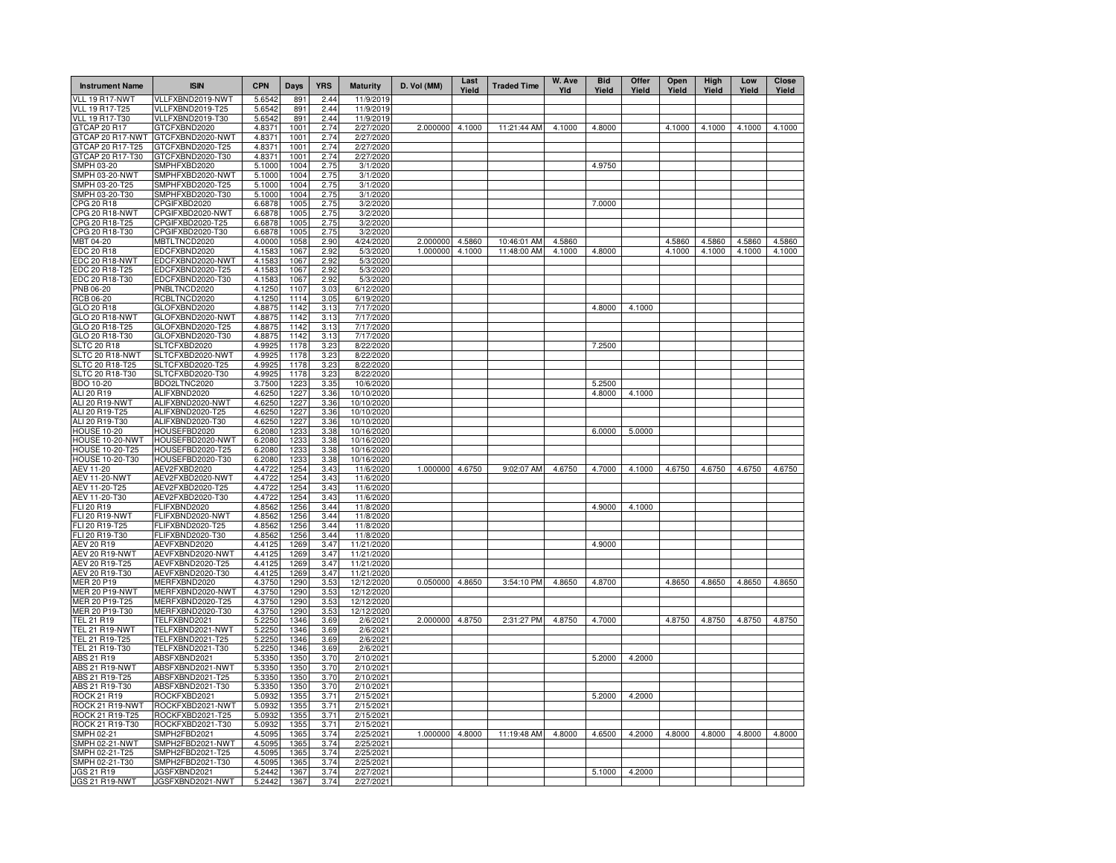| <b>Instrument Name</b>                    | <b>ISIN</b>                          | <b>CPN</b>       | Days         | <b>YRS</b>   | <b>Maturity</b>          | D. Vol (MM)     | Last<br>Yield | <b>Traded Time</b> | W. Ave<br>Yld | <b>Bid</b><br>Yield | Offer<br>Yield | Open<br>Yield | High<br>Yield | Low<br>Yield | Close<br>Yield |
|-------------------------------------------|--------------------------------------|------------------|--------------|--------------|--------------------------|-----------------|---------------|--------------------|---------------|---------------------|----------------|---------------|---------------|--------------|----------------|
| VLL 19 R17-NWT                            | VLLFXBND2019-NWT                     | 5.6542           | 891          | 2.44         | 11/9/2019                |                 |               |                    |               |                     |                |               |               |              |                |
| VLL 19 R17-T25                            | VLLFXBND2019-T25                     | 5.6542           | 891          | 2.44         | 11/9/2019                |                 |               |                    |               |                     |                |               |               |              |                |
| VLL 19 R17-T30<br>GTCAP 20 R17            | VLLFXBND2019-T30<br>GTCFXBND2020     | 5.6542<br>4.8371 | 891<br>1001  | 2.44<br>2.74 | 11/9/2019<br>2/27/2020   | 2.000000 4.1000 |               | 11:21:44 AM        | 4.1000        | 4.8000              |                | 4.1000        | 4.1000        | 4.1000       | 4.1000         |
| GTCAP 20 R17-NWT                          | GTCFXBND2020-NWT                     | 4.8371           | 1001         | 2.74         | 2/27/2020                |                 |               |                    |               |                     |                |               |               |              |                |
| GTCAP 20 R17-T25                          | GTCFXBND2020-T25                     | 4.8371           | 1001         | 2.74         | 2/27/2020                |                 |               |                    |               |                     |                |               |               |              |                |
| GTCAP 20 R17-T30                          | GTCFXBND2020-T30                     | 4.8371           | 1001         | 2.74         | 2/27/2020                |                 |               |                    |               |                     |                |               |               |              |                |
| <b>SMPH 03-20</b>                         | SMPHFXBD2020                         | 5.1000           | 1004         | 2.75         | 3/1/2020                 |                 |               |                    |               | 4.9750              |                |               |               |              |                |
| SMPH 03-20-NWT                            | SMPHFXBD2020-NWT                     | 5.1000           | 1004         | 2.75         | 3/1/2020                 |                 |               |                    |               |                     |                |               |               |              |                |
| SMPH 03-20-T25                            | SMPHFXBD2020-T25<br>SMPHFXBD2020-T30 | 5.1000           | 1004<br>1004 | 2.75         | 3/1/2020<br>3/1/2020     |                 |               |                    |               |                     |                |               |               |              |                |
| SMPH 03-20-T30<br>CPG 20 R18              | CPGIFXBD2020                         | 5.1000<br>6.6878 | 1005         | 2.75<br>2.75 | 3/2/2020                 |                 |               |                    |               | 7.0000              |                |               |               |              |                |
| CPG 20 R18-NWT                            | CPGIFXBD2020-NWT                     | 6.6878           | 1005         | 2.75         | 3/2/2020                 |                 |               |                    |               |                     |                |               |               |              |                |
| CPG 20 R18-T25                            | CPGIFXBD2020-T25                     | 6.6878           | 1005         | 2.75         | 3/2/2020                 |                 |               |                    |               |                     |                |               |               |              |                |
| CPG 20 R18-T30                            | CPGIFXBD2020-T30                     | 6.6878           | 1005         | 2.75         | 3/2/2020                 |                 |               |                    |               |                     |                |               |               |              |                |
| MBT 04-20                                 | MBTLTNCD2020                         | 4.0000           | 1058         | 2.90         | 4/24/2020                | 2.000000        | 4.5860        | 10:46:01 AM        | 4.5860        |                     |                | 4.5860        | 4.5860        | 4.5860       | 4.5860         |
| EDC 20 R18                                | EDCFXBND2020                         | 4.1583           | 1067         | 2.92         | 5/3/2020                 | 1.000000        | 4.1000        | 11:48:00 AM        | 4.1000        | 4.8000              |                | 4.1000        | 4.1000        | 4.1000       | 4.1000         |
| EDC 20 R18-NWT<br>EDC 20 R18-T25          | EDCFXBND2020-NWT<br>EDCFXBND2020-T25 | 4.1583<br>4.1583 | 1067<br>1067 | 2.92         | 5/3/2020                 |                 |               |                    |               |                     |                |               |               |              |                |
| EDC 20 R18-T30                            | EDCFXBND2020-T30                     | 4.1583           | 1067         | 2.92<br>2.92 | 5/3/2020<br>5/3/2020     |                 |               |                    |               |                     |                |               |               |              |                |
| PNB 06-20                                 | PNBLTNCD2020                         | 4.1250           | 1107         | 3.03         | 6/12/2020                |                 |               |                    |               |                     |                |               |               |              |                |
| <b>RCB 06-20</b>                          | RCBLTNCD2020                         | 4.1250           | 1114         | 3.05         | 6/19/2020                |                 |               |                    |               |                     |                |               |               |              |                |
| GLO 20 R18                                | GLOFXBND2020                         | 4.8875           | 1142         | 3.13         | 7/17/2020                |                 |               |                    |               | 4.8000              | 4.1000         |               |               |              |                |
| GLO 20 R18-NWT                            | GLOFXBND2020-NWT                     | 4.8875           | 1142         | 3.13         | 7/17/2020                |                 |               |                    |               |                     |                |               |               |              |                |
| GLO 20 R18-T25                            | GLOFXBND2020-T25                     | 4.8875           | 1142         | 3.13         | 7/17/2020                |                 |               |                    |               |                     |                |               |               |              |                |
| GLO 20 R18-T30                            | GLOFXBND2020-T30                     | 4.8875           | 1142         | 3.13         | 7/17/2020                |                 |               |                    |               |                     |                |               |               |              |                |
| <b>SLTC 20 R18</b>                        | SLTCFXBD2020                         | 4.9925           | 1178<br>1178 | 3.23         | 8/22/2020                |                 |               |                    |               | 7.2500              |                |               |               |              |                |
| SLTC 20 R18-NWT<br><b>SLTC 20 R18-T25</b> | SLTCFXBD2020-NWT<br>SLTCFXBD2020-T25 | 4.9925<br>4.9925 | 1178         | 3.23<br>3.23 | 8/22/2020<br>8/22/2020   |                 |               |                    |               |                     |                |               |               |              |                |
| SLTC 20 R18-T30                           | SLTCFXBD2020-T30                     | 4.9925           | 1178         | 3.23         | 8/22/2020                |                 |               |                    |               |                     |                |               |               |              |                |
| BDO 10-20                                 | BDO2LTNC2020                         | 3.7500           | 1223         | 3.35         | 10/6/2020                |                 |               |                    |               | 5.2500              |                |               |               |              |                |
| ALI 20 R19                                | ALIFXBND2020                         | 4.6250           | 1227         | 3.36         | 10/10/2020               |                 |               |                    |               | 4.8000              | 4.1000         |               |               |              |                |
| ALI 20 R19-NWT                            | ALIFXBND2020-NWT                     | 4.6250           | 1227         | 3.36         | 10/10/2020               |                 |               |                    |               |                     |                |               |               |              |                |
| ALI 20 R19-T25                            | ALIFXBND2020-T25                     | 4.6250           | 1227         | 3.36         | 10/10/2020               |                 |               |                    |               |                     |                |               |               |              |                |
| ALI 20 R19-T30                            | ALIFXBND2020-T30                     | 4.6250           | 1227         | 3.36         | 10/10/2020               |                 |               |                    |               |                     |                |               |               |              |                |
| <b>HOUSE 10-20</b><br>HOUSE 10-20-NWT     | HOUSEFBD2020<br>HOUSEFBD2020-NWT     | 6.2080<br>6.2080 | 1233<br>1233 | 3.38<br>3.38 | 10/16/2020<br>10/16/2020 |                 |               |                    |               | 6.0000              | 5.0000         |               |               |              |                |
| HOUSE 10-20-T25                           | HOUSEFBD2020-T25                     | 6.2080           | 1233         | 3.38         | 10/16/2020               |                 |               |                    |               |                     |                |               |               |              |                |
| <b>HOUSE 10-20-T30</b>                    | HOUSEFBD2020-T30                     | 6.2080           | 1233         | 3.38         | 10/16/2020               |                 |               |                    |               |                     |                |               |               |              |                |
| AEV 11-20                                 | AEV2FXBD2020                         | 4.4722           | 1254         | 3.43         | 11/6/2020                | 1.000000        | 4.6750        | 9:02:07 AM         | 4.6750        | 4.7000              | 4.1000         | 4.6750        | 4.6750        | 4.6750       | 4.6750         |
| <b>AEV 11-20-NWT</b>                      | AEV2FXBD2020-NWT                     | 4.4722           | 1254         | 3.43         | 11/6/2020                |                 |               |                    |               |                     |                |               |               |              |                |
| AEV 11-20-T25                             | AEV2FXBD2020-T25                     | 4.4722           | 1254         | 3.43         | 11/6/2020                |                 |               |                    |               |                     |                |               |               |              |                |
| AEV 11-20-T30                             | AEV2FXBD2020-T30                     | 4.4722           | 1254         | 3.43         | 11/6/2020                |                 |               |                    |               |                     |                |               |               |              |                |
| FLI 20 R19<br>FLI 20 R19-NWT              | FLIFXBND2020<br>FLIFXBND2020-NWT     | 4.8562<br>4.8562 | 1256<br>1256 | 3.44<br>3.44 | 11/8/2020<br>11/8/2020   |                 |               |                    |               | 4.9000              | 4.1000         |               |               |              |                |
| FLI 20 R19-T25                            | FLIFXBND2020-T25                     | 4.8562           | 1256         | 3.44         | 11/8/2020                |                 |               |                    |               |                     |                |               |               |              |                |
| FLI 20 R19-T30                            | FLIFXBND2020-T30                     | 4.8562           | 1256         | 3.44         | 11/8/2020                |                 |               |                    |               |                     |                |               |               |              |                |
| AEV 20 R19                                | AEVFXBND2020                         | 4.4125           | 1269         | 3.47         | 11/21/2020               |                 |               |                    |               | 4.9000              |                |               |               |              |                |
| AEV 20 R19-NWT                            | AEVFXBND2020-NWT                     | 4.4125           | 1269         | 3.47         | 11/21/2020               |                 |               |                    |               |                     |                |               |               |              |                |
| AEV 20 R19-T25                            | AEVFXBND2020-T25                     | 4.4125           | 1269         | 3.47         | 11/21/2020               |                 |               |                    |               |                     |                |               |               |              |                |
| AEV 20 R19-T30                            | AEVFXBND2020-T30                     | 4.4125           | 1269         | 3.47         | 11/21/2020               |                 |               |                    |               |                     |                |               |               |              |                |
| MER 20 P19<br><b>MER 20 P19-NWT</b>       | MERFXBND2020<br>MERFXBND2020-NWT     | 4.3750<br>4.3750 | 1290<br>1290 | 3.53<br>3.53 | 12/12/2020<br>12/12/2020 | 0.050000        | 4.8650        | 3:54:10 PM         | 4.8650        | 4.8700              |                | 4.8650        | 4.8650        | 4.8650       | 4.8650         |
| MER 20 P19-T25                            | MERFXBND2020-T25                     | 4.3750           | 1290         | 3.53         | 12/12/2020               |                 |               |                    |               |                     |                |               |               |              |                |
| MER 20 P19-T30                            | MERFXBND2020-T30                     | 4.3750           | 1290         | 3.53         | 12/12/2020               |                 |               |                    |               |                     |                |               |               |              |                |
| TEL 21 R19                                | FELFXBND2021                         | 5.2250           | 1346         | 3.69         | 2/6/2021                 | 2.000000        | 4.8750        | 2:31:27 PM         | 4.8750        | 4.7000              |                | 4.8750        | 4.8750        | 4.8750       | 4.8750         |
| <b>TEL 21 R19-NWT</b>                     | FELFXBND2021-NWT                     | 5.2250           | 1346         | 3.69         | 2/6/2021                 |                 |               |                    |               |                     |                |               |               |              |                |
| TEL 21 R19-T25                            | TELFXBND2021-T25                     | 5.2250           | 1346         | 3.69         | 2/6/2021                 |                 |               |                    |               |                     |                |               |               |              |                |
| TEL 21 R19-T30                            | FELFXBND2021-T30                     | 5.2250           | 1346         | 3.69         | 2/6/2021                 |                 |               |                    |               |                     |                |               |               |              |                |
| ABS 21 R19<br>ABS 21 R19-NWT              | ABSFXBND2021<br>ABSFXBND2021-NWT     | 5.3350<br>5.3350 | 1350<br>1350 | 3.70<br>3.70 | 2/10/2021<br>2/10/2021   |                 |               |                    |               | 5.2000              | 4.2000         |               |               |              |                |
| ABS 21 R19-T25                            | ABSFXBND2021-T25                     | 5.3350           | 1350         | 3.70         | 2/10/2021                |                 |               |                    |               |                     |                |               |               |              |                |
| ABS 21 R19-T30                            | ABSFXBND2021-T30                     | 5.3350           | 1350         | 3.70         | 2/10/2021                |                 |               |                    |               |                     |                |               |               |              |                |
| ROCK 21 R19                               | ROCKFXBD2021                         | 5.0932           | 1355         | 3.71         | 2/15/2021                |                 |               |                    |               | 5.2000              | 4.2000         |               |               |              |                |
| ROCK 21 R19-NWT                           | ROCKFXBD2021-NWT                     | 5.0932           | 1355         | 3.71         | 2/15/2021                |                 |               |                    |               |                     |                |               |               |              |                |
| ROCK 21 R19-T25                           | ROCKFXBD2021-T25                     | 5.0932           | 1355         | 3.71         | 2/15/2021                |                 |               |                    |               |                     |                |               |               |              |                |
| ROCK 21 R19-T30                           | ROCKFXBD2021-T30                     | 5.0932           | 1355         | 3.71         | 2/15/2021                |                 |               |                    |               |                     |                |               |               |              |                |
| SMPH 02-21                                | SMPH2FBD2021<br>SMPH2FBD2021-NWT     | 4.5095           | 1365<br>1365 | 3.74         | 2/25/2021                | 1.000000        | 4.8000        | 11:19:48 AM        | 4.8000        | 4.6500              | 4.2000         | 4.8000        | 4.8000        | 4.8000       | 4.8000         |
| SMPH 02-21-NWT<br>SMPH 02-21-T25          | SMPH2FBD2021-T25                     | 4.5095<br>4.5095 | 1365         | 3.74<br>3.74 | 2/25/2021<br>2/25/2021   |                 |               |                    |               |                     |                |               |               |              |                |
| SMPH 02-21-T30                            | SMPH2FBD2021-T30                     | 4.5095           | 1365         | 3.74         | 2/25/2021                |                 |               |                    |               |                     |                |               |               |              |                |
| <b>JGS 21 R19</b>                         | JGSFXBND2021                         | 5.2442           | 1367         | 3.74         | 2/27/2021                |                 |               |                    |               | 5.1000              | 4.2000         |               |               |              |                |
| <b>JGS 21 R19-NWT</b>                     | JGSFXBND2021-NWT                     | 5.2442           | 1367         | 3.74         | 2/27/2021                |                 |               |                    |               |                     |                |               |               |              |                |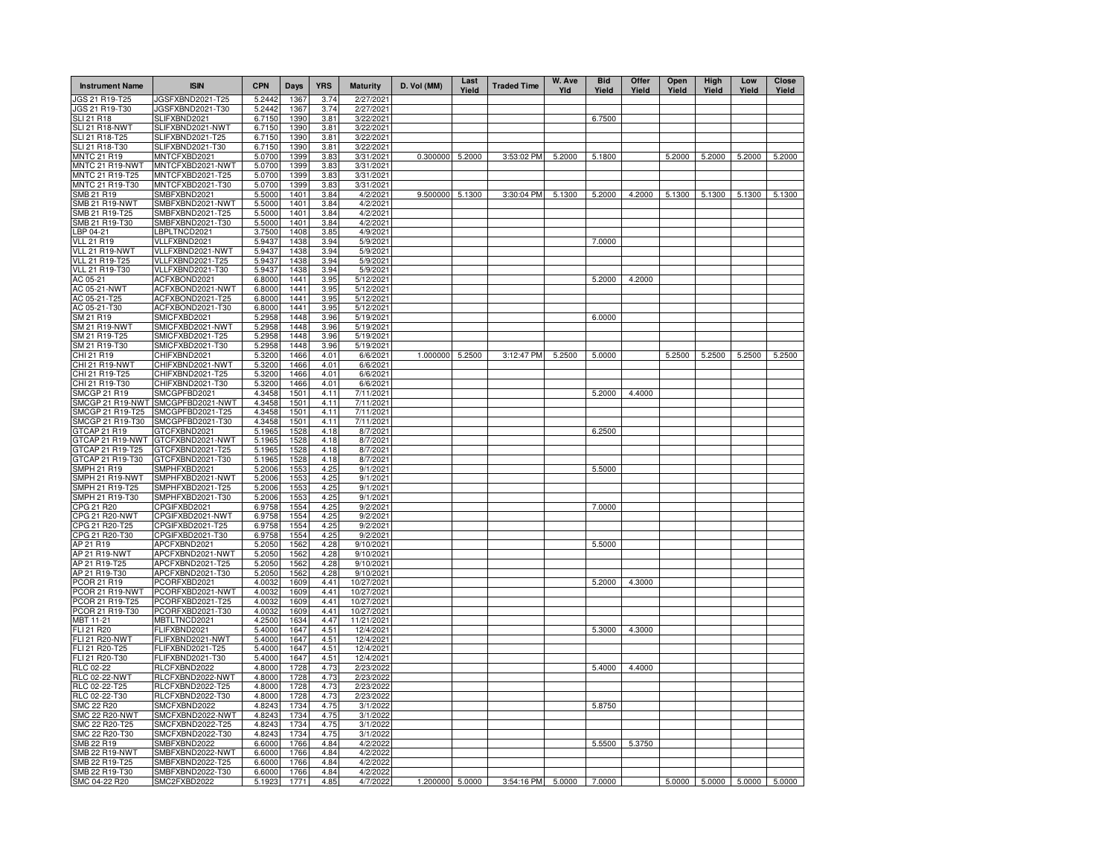| <b>Instrument Name</b>           | <b>ISIN</b>                          | <b>CPN</b>       | Days         | <b>YRS</b>   | <b>Maturity</b>          | D. Vol (MM)     | Last<br>Yield | <b>Traded Time</b> | W. Ave<br>YId | <b>Bid</b><br>Yield | Offer<br>Yield | Open<br>Yield | High<br>Yield | Low<br>Yield                | <b>Close</b><br>Yield |
|----------------------------------|--------------------------------------|------------------|--------------|--------------|--------------------------|-----------------|---------------|--------------------|---------------|---------------------|----------------|---------------|---------------|-----------------------------|-----------------------|
| JGS 21 R19-T25                   | IGSFXBND2021-T25                     | 5.2442           | 1367         | 3.74         | 2/27/2021                |                 |               |                    |               |                     |                |               |               |                             |                       |
| JGS 21 R19-T30                   | JGSFXBND2021-T30                     | 5.2442           | 1367         | 3.74         | 2/27/2021                |                 |               |                    |               |                     |                |               |               |                             |                       |
| <b>SLI 21 R18</b>                | SLIFXBND2021                         | 6.7150           | 1390         | 3.81         | 3/22/2021                |                 |               |                    |               | 6.7500              |                |               |               |                             |                       |
| SLI 21 R18-NWT<br>SLI 21 R18-T25 | SLIFXBND2021-NWT<br>SLIFXBND2021-T25 | 6.7150<br>6.7150 | 1390<br>1390 | 3.81<br>3.81 | 3/22/2021<br>3/22/2021   |                 |               |                    |               |                     |                |               |               |                             |                       |
| SLI 21 R18-T30                   | SLIFXBND2021-T30                     | 6.7150           | 1390         | 3.81         | 3/22/2021                |                 |               |                    |               |                     |                |               |               |                             |                       |
| <b>MNTC 21 R19</b>               | MNTCFXBD2021                         | 5.0700           | 1399         | 3.83         | 3/31/2021                | 0.300000        | 5.2000        | 3:53:02 PM         | 5.2000        | 5.1800              |                | 5.2000        | 5.2000        | 5.2000                      | 5.2000                |
| MNTC 21 R19-NWT                  | MNTCFXBD2021-NWT                     | 5.0700           | 1399         | 3.83         | 3/31/2021                |                 |               |                    |               |                     |                |               |               |                             |                       |
| MNTC 21 R19-T25                  | MNTCFXBD2021-T25                     | 5.0700           | 1399         | 3.83         | 3/31/2021                |                 |               |                    |               |                     |                |               |               |                             |                       |
| MNTC 21 R19-T30                  | MNTCFXBD2021-T30                     | 5.0700           | 1399         | 3.83         | 3/31/2021                |                 |               |                    |               |                     |                |               |               |                             |                       |
| SMB 21 R19                       | SMBFXBND2021                         | 5.5000           | 1401         | 3.84         | 4/2/2021                 | 9.500000        | 5.1300        | 3:30:04 PM         | 5.1300        | 5.2000              | 4.2000         | 5.1300        | 5.1300        | 5.1300                      | 5.1300                |
| SMB 21 R19-NWT                   | SMBFXBND2021-NWT                     | 5.5000           | 1401         | 3.84         | 4/2/2021                 |                 |               |                    |               |                     |                |               |               |                             |                       |
| SMB 21 R19-T25                   | SMBFXBND2021-T25                     | 5.5000           | 1401         | 3.84         | 4/2/2021                 |                 |               |                    |               |                     |                |               |               |                             |                       |
| SMB 21 R19-T30<br>BP 04-21       | SMBFXBND2021-T30                     | 5.5000           | 1401<br>1408 | 3.84         | 4/2/2021<br>4/9/2021     |                 |               |                    |               |                     |                |               |               |                             |                       |
| <b>VLL 21 R19</b>                | BPLTNCD2021<br>VLLFXBND2021          | 3.7500<br>5.9437 | 1438         | 3.85<br>3.94 | 5/9/2021                 |                 |               |                    |               | 7.0000              |                |               |               |                             |                       |
| VLL 21 R19-NWT                   | VLLFXBND2021-NWT                     | 5.9437           | 1438         | 3.94         | 5/9/2021                 |                 |               |                    |               |                     |                |               |               |                             |                       |
| VLL 21 R19-T25                   | VLLFXBND2021-T25                     | 5.9437           | 1438         | 3.94         | 5/9/2021                 |                 |               |                    |               |                     |                |               |               |                             |                       |
| <b>VLL 21 R19-T30</b>            | VLLFXBND2021-T30                     | 5.9437           | 1438         | 3.94         | 5/9/2021                 |                 |               |                    |               |                     |                |               |               |                             |                       |
| AC 05-21                         | ACFXBOND2021                         | 6.8000           | 1441         | 3.95         | 5/12/2021                |                 |               |                    |               | 5.2000              | 4.2000         |               |               |                             |                       |
| AC 05-21-NWT                     | ACFXBOND2021-NWT                     | 6.8000           | 1441         | 3.95         | 5/12/2021                |                 |               |                    |               |                     |                |               |               |                             |                       |
| AC 05-21-T25                     | ACFXBOND2021-T25                     | 6.8000           | 1441         | 3.95         | 5/12/2021                |                 |               |                    |               |                     |                |               |               |                             |                       |
| AC 05-21-T30                     | ACFXBOND2021-T30                     | 6.8000           | 1441         | 3.95         | 5/12/2021                |                 |               |                    |               |                     |                |               |               |                             |                       |
| SM 21 R19                        | SMICFXBD2021                         | 5.2958           | 1448         | 3.96         | 5/19/2021                |                 |               |                    |               | 6.0000              |                |               |               |                             |                       |
| <b>SM 21 R19-NWT</b>             | SMICFXBD2021-NWT                     | 5.2958           | 1448         | 3.96         | 5/19/2021                |                 |               |                    |               |                     |                |               |               |                             |                       |
| SM 21 R19-T25                    | SMICFXBD2021-T25                     | 5.2958           | 1448         | 3.96         | 5/19/2021                |                 |               |                    |               |                     |                |               |               |                             |                       |
| SM 21 R19-T30                    | SMICFXBD2021-T30                     | 5.2958           | 1448         | 3.96         | 5/19/2021                |                 |               |                    |               |                     |                |               |               |                             |                       |
| CHI 21 R19                       | CHIFXBND2021                         | 5.3200           | 1466         | 4.01         | 6/6/2021                 | 1.000000        | 5.2500        | 3:12:47 PM         | 5.2500        | 5.0000              |                | 5.2500        | 5.2500        | 5.2500                      | 5.2500                |
| CHI 21 R19-NWT                   | CHIFXBND2021-NWT                     | 5.3200           | 1466         | 4.01         | 6/6/2021                 |                 |               |                    |               |                     |                |               |               |                             |                       |
| CHI 21 R19-T25<br>CHI 21 R19-T30 | CHIFXBND2021-T25<br>CHIFXBND2021-T30 | 5.3200<br>5.3200 | 1466<br>1466 | 4.01<br>4.01 | 6/6/2021<br>6/6/2021     |                 |               |                    |               |                     |                |               |               |                             |                       |
| <b>SMCGP 21 R19</b>              | SMCGPFBD2021                         | 4.3458           | 1501         | 4.11         | 7/11/2021                |                 |               |                    |               | 5.2000              | 4.4000         |               |               |                             |                       |
| SMCGP 21 R19-NWT                 | SMCGPFBD2021-NWT                     | 4.3458           | 1501         | 4.11         | 7/11/2021                |                 |               |                    |               |                     |                |               |               |                             |                       |
| SMCGP 21 R19-T25                 | SMCGPFBD2021-T25                     | 4.3458           | 1501         | 4.11         | 7/11/2021                |                 |               |                    |               |                     |                |               |               |                             |                       |
| SMCGP 21 R19-T30                 | SMCGPFBD2021-T30                     | 4.3458           | 1501         | 4.11         | 7/11/2021                |                 |               |                    |               |                     |                |               |               |                             |                       |
| GTCAP 21 R19                     | GTCFXBND2021                         | 5.1965           | 1528         | 4.18         | 8/7/2021                 |                 |               |                    |               | 6.2500              |                |               |               |                             |                       |
| GTCAP 21 R19-NWT                 | GTCFXBND2021-NWT                     | 5.1965           | 1528         | 4.18         | 8/7/2021                 |                 |               |                    |               |                     |                |               |               |                             |                       |
| GTCAP 21 R19-T25                 | GTCFXBND2021-T25                     | 5.1965           | 1528         | 4.18         | 8/7/2021                 |                 |               |                    |               |                     |                |               |               |                             |                       |
| GTCAP 21 R19-T30                 | GTCFXBND2021-T30                     | 5.1965           | 1528         | 4.18         | 8/7/2021                 |                 |               |                    |               |                     |                |               |               |                             |                       |
| <b>SMPH 21 R19</b>               | SMPHFXBD2021                         | 5.2006           | 1553         | 4.25         | 9/1/2021                 |                 |               |                    |               | 5.5000              |                |               |               |                             |                       |
| SMPH 21 R19-NWT                  | SMPHFXBD2021-NWT                     | 5.2006           | 1553         | 4.25         | 9/1/2021                 |                 |               |                    |               |                     |                |               |               |                             |                       |
| SMPH 21 R19-T25                  | SMPHFXBD2021-T25                     | 5.2006           | 1553         | 4.25         | 9/1/2021                 |                 |               |                    |               |                     |                |               |               |                             |                       |
| SMPH 21 R19-T30<br>CPG 21 R20    | SMPHFXBD2021-T30<br>CPGIFXBD2021     | 5.2006<br>6.9758 | 1553<br>1554 | 4.25<br>4.25 | 9/1/2021<br>9/2/2021     |                 |               |                    |               | 7.0000              |                |               |               |                             |                       |
| CPG 21 R20-NWT                   | CPGIFXBD2021-NWT                     | 6.9758           | 1554         | 4.25         | 9/2/2021                 |                 |               |                    |               |                     |                |               |               |                             |                       |
| CPG 21 R20-T25                   | CPGIFXBD2021-T25                     | 6.9758           | 1554         | 4.25         | 9/2/2021                 |                 |               |                    |               |                     |                |               |               |                             |                       |
| CPG 21 R20-T30                   | CPGIFXBD2021-T30                     | 6.9758           | 1554         | 4.25         | 9/2/2021                 |                 |               |                    |               |                     |                |               |               |                             |                       |
| AP 21 R19                        | APCFXBND2021                         | 5.2050           | 1562         | 4.28         | 9/10/2021                |                 |               |                    |               | 5.5000              |                |               |               |                             |                       |
| AP 21 R19-NWT                    | APCFXBND2021-NWT                     | 5.2050           | 1562         | 4.28         | 9/10/2021                |                 |               |                    |               |                     |                |               |               |                             |                       |
| AP 21 R19-T25                    | APCFXBND2021-T25                     | 5.2050           | 1562         | 4.28         | 9/10/2021                |                 |               |                    |               |                     |                |               |               |                             |                       |
| AP 21 R19-T30                    | APCFXBND2021-T30                     | 5.2050           | 1562         | 4.28         | 9/10/2021                |                 |               |                    |               |                     |                |               |               |                             |                       |
| PCOR 21 R19                      | PCORFXBD2021                         | 4.0032           | 1609         | 4.41         | 10/27/2021               |                 |               |                    |               | 5.2000              | 4.3000         |               |               |                             |                       |
| PCOR 21 R19-NWT                  | PCORFXBD2021-NWT                     | 4.0032           | 1609         | 4.41         | 10/27/2021               |                 |               |                    |               |                     |                |               |               |                             |                       |
| PCOR 21 R19-T25                  | PCORFXBD2021-T25                     | 4.0032           | 1609         | 4.41         | 10/27/2021               |                 |               |                    |               |                     |                |               |               |                             |                       |
| PCOR 21 R19-T30<br>MBT 11-21     | PCORFXBD2021-T30<br>MBTLTNCD2021     | 4.0032<br>4.2500 | 1609<br>1634 | 4.41<br>4.47 | 10/27/2021<br>11/21/2021 |                 |               |                    |               |                     |                |               |               |                             |                       |
| FLI 21 R20                       | FLIFXBND2021                         | 5.4000           | 1647         | 4.51         | 12/4/2021                |                 |               |                    |               | 5.3000              | 4.3000         |               |               |                             |                       |
| <b>FLI 21 R20-NWT</b>            | FLIFXBND2021-NWT                     | 5.4000           | 1647         | 4.51         | 12/4/2021                |                 |               |                    |               |                     |                |               |               |                             |                       |
| FLI 21 R20-T25                   | FLIFXBND2021-T25                     | 5.4000           | 1647         | 4.51         | 12/4/2021                |                 |               |                    |               |                     |                |               |               |                             |                       |
| FLI 21 R20-T30                   | FLIFXBND2021-T30                     | 5.4000           | 1647         | 4.51         | 12/4/2021                |                 |               |                    |               |                     |                |               |               |                             |                       |
| RLC 02-22                        | RLCFXBND2022                         | 4.8000           | 1728         | 4.73         | 2/23/2022                |                 |               |                    |               | 5.4000              | 4.4000         |               |               |                             |                       |
| <b>RLC 02-22-NWT</b>             | RLCFXBND2022-NWT                     | 4.8000           | 1728         | 4.73         | 2/23/2022                |                 |               |                    |               |                     |                |               |               |                             |                       |
| RLC 02-22-T25                    | RLCFXBND2022-T25                     | 4.8000           | 1728         | 4.73         | 2/23/2022                |                 |               |                    |               |                     |                |               |               |                             |                       |
| RLC 02-22-T30                    | RLCFXBND2022-T30                     | 4.8000           | 1728         | 4.73         | 2/23/2022                |                 |               |                    |               |                     |                |               |               |                             |                       |
| SMC 22 R20                       | SMCFXBND2022                         | 4.8243           | 1734         | 4.75         | 3/1/2022                 |                 |               |                    |               | 5.8750              |                |               |               |                             |                       |
| SMC 22 R20-NWT                   | SMCFXBND2022-NWT                     | 4.8243           | 1734         | 4.75         | 3/1/2022                 |                 |               |                    |               |                     |                |               |               |                             |                       |
| SMC 22 R20-T25                   | SMCFXBND2022-T25                     | 4.8243           | 1734         | 4.75         | 3/1/2022                 |                 |               |                    |               |                     |                |               |               |                             |                       |
| SMC 22 R20-T30<br>SMB 22 R19     | SMCFXBND2022-T30<br>SMBFXBND2022     | 4.8243<br>6.6000 | 1734<br>1766 | 4.75<br>4.84 | 3/1/2022<br>4/2/2022     |                 |               |                    |               | 5.5500              | 5.3750         |               |               |                             |                       |
| SMB 22 R19-NWT                   | SMBFXBND2022-NWT                     | 6.6000           | 1766         | 4.84         | 4/2/2022                 |                 |               |                    |               |                     |                |               |               |                             |                       |
| SMB 22 R19-T25                   | SMBFXBND2022-T25                     | 6.6000           | 1766         | 4.84         | 4/2/2022                 |                 |               |                    |               |                     |                |               |               |                             |                       |
| SMB 22 R19-T30                   | SMBFXBND2022-T30                     | 6.6000           | 1766         | 4.84         | 4/2/2022                 |                 |               |                    |               |                     |                |               |               |                             |                       |
| SMC 04-22 R20                    | SMC2FXBD2022                         | 5.1923           | 1771         | 4.85         | 4/7/2022                 | 1.200000 5.0000 |               | 3:54:16 PM         |               | 5.0000 7.0000       |                |               |               | 5.0000 5.0000 5.0000 5.0000 |                       |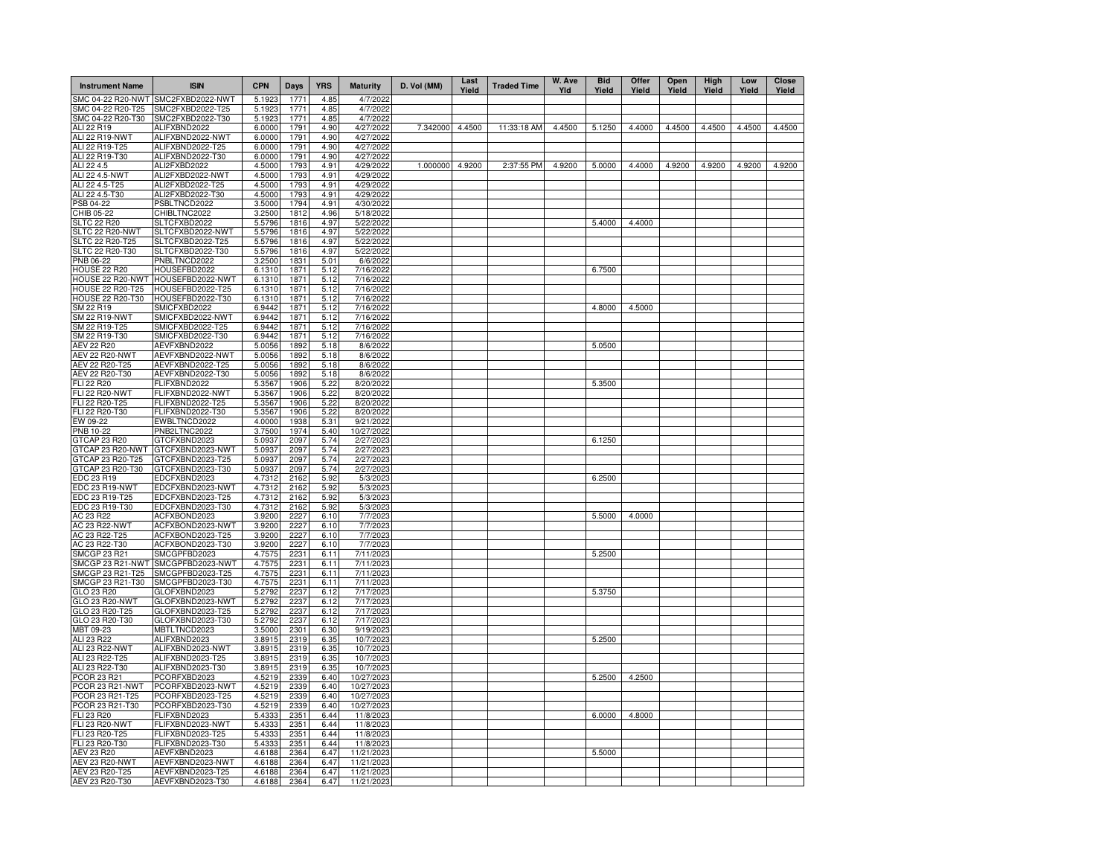| <b>Instrument Name</b>                  | <b>ISIN</b>                          | <b>CPN</b>       | Days         | <b>YRS</b>   | <b>Maturity</b>         | D. Vol (MM)     | Last<br>Yield | <b>Traded Time</b> | W. Ave<br>Yld | <b>Bid</b><br>Yield | Offer<br>Yield | Open<br>Yield | High<br>Yield | Low<br>Yield | Close<br>Yield |
|-----------------------------------------|--------------------------------------|------------------|--------------|--------------|-------------------------|-----------------|---------------|--------------------|---------------|---------------------|----------------|---------------|---------------|--------------|----------------|
| SMC 04-22 R20-NWT                       | SMC2FXBD2022-NWT                     | 5.1923           | 1771         | 4.85         | 4/7/2022                |                 |               |                    |               |                     |                |               |               |              |                |
| SMC 04-22 R20-T25                       | SMC2FXBD2022-T25                     | 5.1923           | 1771         | 4.85         | 4/7/2022                |                 |               |                    |               |                     |                |               |               |              |                |
| SMC 04-22 R20-T30<br>ALI 22 R19         | SMC2FXBD2022-T30<br>ALIFXBND2022     | 5.1923<br>6.0000 | 1771<br>1791 | 4.85<br>4.90 | 4/7/2022<br>4/27/2022   | 7.342000 4.4500 |               | 11:33:18 AM        | 4.4500        | 5.1250              | 4.4000         | 4.4500        | 4.4500        | 4.4500       | 4.4500         |
| <b>ALI 22 R19-NWT</b>                   | ALIFXBND2022-NWT                     | 6.0000           | 1791         | 4.90         | 4/27/2022               |                 |               |                    |               |                     |                |               |               |              |                |
| ALI 22 R19-T25                          | ALIFXBND2022-T25                     | 6.0000           | 1791         | 4.90         | 4/27/2022               |                 |               |                    |               |                     |                |               |               |              |                |
| ALI 22 R19-T30                          | ALIFXBND2022-T30                     | 6.0000           | 1791         | 4.90         | 4/27/2022               |                 |               |                    |               |                     |                |               |               |              |                |
| ALI 22 4.5                              | ALI2FXBD2022                         | 4.5000           | 1793         | 4.91         | 4/29/2022               | 1.000000 4.9200 |               | 2:37:55 PM         | 4.9200        | 5.0000              | 4.4000         | 4.9200        | 4.9200        | 4.9200       | 4.9200         |
| ALI 22 4.5-NWT                          | ALI2FXBD2022-NWT                     | 4.5000           | 1793         | 4.91         | 4/29/2022               |                 |               |                    |               |                     |                |               |               |              |                |
| ALI 22 4.5-T25                          | ALI2FXBD2022-T25                     | 4.5000           | 1793         | 4.91         | 4/29/2022               |                 |               |                    |               |                     |                |               |               |              |                |
| ALI 22 4.5-T30<br>PSB 04-22             | ALI2FXBD2022-T30<br>PSBLTNCD2022     | 4.5000<br>3.5000 | 1793<br>1794 | 4.91<br>4.91 | 4/29/2022<br>4/30/2022  |                 |               |                    |               |                     |                |               |               |              |                |
| CHIB 05-22                              | CHIBLTNC2022                         | 3.2500           | 1812         | 4.96         | 5/18/202                |                 |               |                    |               |                     |                |               |               |              |                |
| <b>SLTC 22 R20</b>                      | SLTCFXBD2022                         | 5.5796           | 1816         | 4.97         | 5/22/2022               |                 |               |                    |               | 5.4000              | 4.4000         |               |               |              |                |
| SLTC 22 R20-NWT                         | SLTCFXBD2022-NWT                     | 5.5796           | 1816         | 4.97         | 5/22/202                |                 |               |                    |               |                     |                |               |               |              |                |
| SLTC 22 R20-T25                         | SLTCFXBD2022-T25                     | 5.5796           | 1816         | 4.97         | 5/22/2022               |                 |               |                    |               |                     |                |               |               |              |                |
| SLTC 22 R20-T30                         | SLTCFXBD2022-T30                     | 5.5796           | 1816         | 4.97         | 5/22/2022               |                 |               |                    |               |                     |                |               |               |              |                |
| PNB 06-22                               | PNBLTNCD2022                         | 3.2500           | 1831         | 5.01         | 6/6/202                 |                 |               |                    |               |                     |                |               |               |              |                |
| <b>HOUSE 22 R20</b><br>HOUSE 22 R20-NWT | HOUSEFBD2022<br>HOUSEFBD2022-NWT     | 6.1310<br>6.1310 | 1871<br>1871 | 5.12<br>5.12 | 7/16/202<br>7/16/202    |                 |               |                    |               | 6.7500              |                |               |               |              |                |
| <b>HOUSE 22 R20-T25</b>                 | HOUSEFBD2022-T25                     | 6.1310           | 1871         | 5.12         | 7/16/202                |                 |               |                    |               |                     |                |               |               |              |                |
| <b>HOUSE 22 R20-T30</b>                 | HOUSEFBD2022-T30                     | 6.1310           | 1871         | 5.12         | 7/16/202                |                 |               |                    |               |                     |                |               |               |              |                |
| SM 22 R19                               | SMICFXBD2022                         | 6.9442           | 1871         | 5.12         | 7/16/202                |                 |               |                    |               | 4.8000              | 4.5000         |               |               |              |                |
| <b>SM 22 R19-NWT</b>                    | SMICFXBD2022-NWT                     | 6.9442           | 1871         | 5.12         | 7/16/202                |                 |               |                    |               |                     |                |               |               |              |                |
| SM 22 R19-T25                           | SMICFXBD2022-T25                     | 6.9442           | 1871         | 5.12         | 7/16/202                |                 |               |                    |               |                     |                |               |               |              |                |
| SM 22 R19-T30                           | SMICFXBD2022-T30                     | 6.9442           | 1871         | 5.12         | 7/16/202                |                 |               |                    |               |                     |                |               |               |              |                |
| <b>AEV 22 R20</b>                       | AEVFXBND2022                         | 5.0056           | 1892         | 5.18         | 8/6/202                 |                 |               |                    |               | 5.0500              |                |               |               |              |                |
| AEV 22 R20-NWT<br>AEV 22 R20-T25        | AEVFXBND2022-NWT<br>AEVFXBND2022-T25 | 5.0056<br>5.0056 | 1892<br>1892 | 5.18         | 8/6/2022<br>8/6/2022    |                 |               |                    |               |                     |                |               |               |              |                |
| AEV 22 R20-T30                          | AEVFXBND2022-T30                     | 5.0056           | 1892         | 5.18<br>5.18 | 8/6/2022                |                 |               |                    |               |                     |                |               |               |              |                |
| FLI 22 R20                              | FLIFXBND2022                         | 5.3567           | 1906         | 5.22         | 8/20/2022               |                 |               |                    |               | 5.3500              |                |               |               |              |                |
| <b>FLI 22 R20-NWT</b>                   | FLIFXBND2022-NWT                     | 5.3567           | 1906         | 5.22         | 8/20/2022               |                 |               |                    |               |                     |                |               |               |              |                |
| FLI 22 R20-T25                          | FLIFXBND2022-T25                     | 5.3567           | 1906         | 5.22         | 8/20/2022               |                 |               |                    |               |                     |                |               |               |              |                |
| FLI 22 R20-T30                          | FLIFXBND2022-T30                     | 5.3567           | 1906         | 5.22         | 8/20/2022               |                 |               |                    |               |                     |                |               |               |              |                |
| EW 09-22                                | EWBLTNCD2022                         | 4.0000           | 1938         | 5.31         | 9/21/2022               |                 |               |                    |               |                     |                |               |               |              |                |
| PNB 10-22<br>GTCAP 23 R20               | PNB2LTNC2022<br>GTCFXBND2023         | 3.7500<br>5.0937 | 1974<br>2097 | 5.40<br>5.74 | 10/27/2022<br>2/27/2023 |                 |               |                    |               | 6.1250              |                |               |               |              |                |
| GTCAP 23 R20-NWT                        | GTCFXBND2023-NWT                     | 5.0937           | 2097         | 5.74         | 2/27/2023               |                 |               |                    |               |                     |                |               |               |              |                |
| GTCAP 23 R20-T25                        | GTCFXBND2023-T25                     | 5.0937           | 2097         | 5.74         | 2/27/2023               |                 |               |                    |               |                     |                |               |               |              |                |
| GTCAP 23 R20-T30                        | GTCFXBND2023-T30                     | 5.0937           | 2097         | 5.74         | 2/27/2023               |                 |               |                    |               |                     |                |               |               |              |                |
| EDC 23 R19                              | EDCFXBND2023                         | 4.7312           | 2162         | 5.92         | 5/3/2023                |                 |               |                    |               | 6.2500              |                |               |               |              |                |
| EDC 23 R19-NWT                          | EDCFXBND2023-NWT                     | 4.7312           | 2162         | 5.92         | 5/3/2023                |                 |               |                    |               |                     |                |               |               |              |                |
| EDC 23 R19-T25                          | EDCFXBND2023-T25                     | 4.7312           | 2162         | 5.92         | 5/3/2023                |                 |               |                    |               |                     |                |               |               |              |                |
| EDC 23 R19-T30                          | EDCFXBND2023-T30                     | 4.7312           | 2162         | 5.92         | 5/3/2023                |                 |               |                    |               |                     |                |               |               |              |                |
| AC 23 R22<br>AC 23 R22-NWT              | ACFXBOND2023<br>ACFXBOND2023-NWT     | 3.9200<br>3.9200 | 2227<br>2227 | 6.10<br>6.10 | 7/7/2023<br>7/7/2023    |                 |               |                    |               | 5.5000              | 4.0000         |               |               |              |                |
| AC 23 R22-T25                           | ACFXBOND2023-T25                     | 3.9200           | 2227         | 6.10         | 7/7/2023                |                 |               |                    |               |                     |                |               |               |              |                |
| AC 23 R22-T30                           | ACFXBOND2023-T30                     | 3.9200           | 2227         | 6.10         | 7/7/2023                |                 |               |                    |               |                     |                |               |               |              |                |
| <b>SMCGP 23 R21</b>                     | SMCGPFBD2023                         | 4.7575           | 2231         | 6.11         | 7/11/2023               |                 |               |                    |               | 5.2500              |                |               |               |              |                |
| SMCGP 23 R21-NWT                        | SMCGPFBD2023-NWT                     | 4.7575           | 2231         | 6.11         | 7/11/2023               |                 |               |                    |               |                     |                |               |               |              |                |
| SMCGP 23 R21-T25                        | SMCGPFBD2023-T25                     | 4.7575           | 2231         | 6.11         | 7/11/2023               |                 |               |                    |               |                     |                |               |               |              |                |
| SMCGP 23 R21-T30                        | SMCGPFBD2023-T30                     | 4.7575           | 2231         | 6.11         | 7/11/2023               |                 |               |                    |               |                     |                |               |               |              |                |
| GLO 23 R20<br>GLO 23 R20-NWT            | GLOFXBND2023<br>GLOFXBND2023-NWT     | 5.2792<br>5.2792 | 2237<br>2237 | 6.12<br>6.12 | 7/17/2023<br>7/17/2023  |                 |               |                    |               | 5.3750              |                |               |               |              |                |
| GLO 23 R20-T25                          | GLOFXBND2023-T25                     | 5.2792           | 2237         | 6.12         | 7/17/2023               |                 |               |                    |               |                     |                |               |               |              |                |
| GLO 23 R20-T30                          | GLOFXBND2023-T30                     | 5.2792           | 2237         | 6.12         | 7/17/2023               |                 |               |                    |               |                     |                |               |               |              |                |
| MBT 09-23                               | MBTLTNCD2023                         | 3.5000           | 2301         | 6.30         | 9/19/2023               |                 |               |                    |               |                     |                |               |               |              |                |
| ALI 23 R22                              | ALIFXBND2023                         | 3.8915           | 2319         | 6.35         | 10/7/2023               |                 |               |                    |               | 5.2500              |                |               |               |              |                |
| ALI 23 R22-NWT                          | ALIFXBND2023-NWT                     | 3.8915           | 2319         | 6.35         | 10/7/2023               |                 |               |                    |               |                     |                |               |               |              |                |
| ALI 23 R22-T25                          | ALIFXBND2023-T25                     | 3.8915           | 2319<br>2319 | 6.35         | 10/7/2023               |                 |               |                    |               |                     |                |               |               |              |                |
| ALI 23 R22-T30<br>PCOR 23 R21           | ALIFXBND2023-T30<br>PCORFXBD2023     | 3.8915<br>4.5219 | 2339         | 6.35<br>6.40 | 10/7/2023<br>10/27/2023 |                 |               |                    |               | 5.2500              | 4.2500         |               |               |              |                |
| PCOR 23 R21-NWT                         | PCORFXBD2023-NWT                     | 4.5219           | 2339         | 6.40         | 10/27/2023              |                 |               |                    |               |                     |                |               |               |              |                |
| PCOR 23 R21-T25                         | PCORFXBD2023-T25                     | 4.5219           | 2339         | 6.40         | 10/27/2023              |                 |               |                    |               |                     |                |               |               |              |                |
| PCOR 23 R21-T30                         | PCORFXBD2023-T30                     | 4.5219           | 2339         | 6.40         | 10/27/2023              |                 |               |                    |               |                     |                |               |               |              |                |
| FLI 23 R20                              | FLIFXBND2023                         | 5.4333           | 2351         | 6.44         | 11/8/2023               |                 |               |                    |               | 6.0000              | 4.8000         |               |               |              |                |
| <b>FLI 23 R20-NWT</b>                   | FLIFXBND2023-NWT                     | 5.4333           | 2351         | 6.44         | 11/8/202                |                 |               |                    |               |                     |                |               |               |              |                |
| FLI 23 R20-T25                          | FLIFXBND2023-T25                     | 5.4333           | 2351         | 6.44         | 11/8/2023               |                 |               |                    |               |                     |                |               |               |              |                |
| FLI 23 R20-T30<br>AEV 23 R20            | FLIFXBND2023-T30<br>AEVFXBND2023     | 5.4333           | 2351<br>2364 | 6.44<br>6.47 | 11/8/2023<br>11/21/2023 |                 |               |                    |               |                     |                |               |               |              |                |
| <b>AEV 23 R20-NWT</b>                   | AEVFXBND2023-NWT                     | 4.6188<br>4.6188 | 2364         | 6.47         | 11/21/202               |                 |               |                    |               | 5.5000              |                |               |               |              |                |
| AEV 23 R20-T25                          | AEVFXBND2023-T25                     | 4.6188           | 2364         | 6.47         | 11/21/2023              |                 |               |                    |               |                     |                |               |               |              |                |
| AEV 23 R20-T30                          | AEVFXBND2023-T30                     | 4.6188           | 2364         | 6.47         | 11/21/202               |                 |               |                    |               |                     |                |               |               |              |                |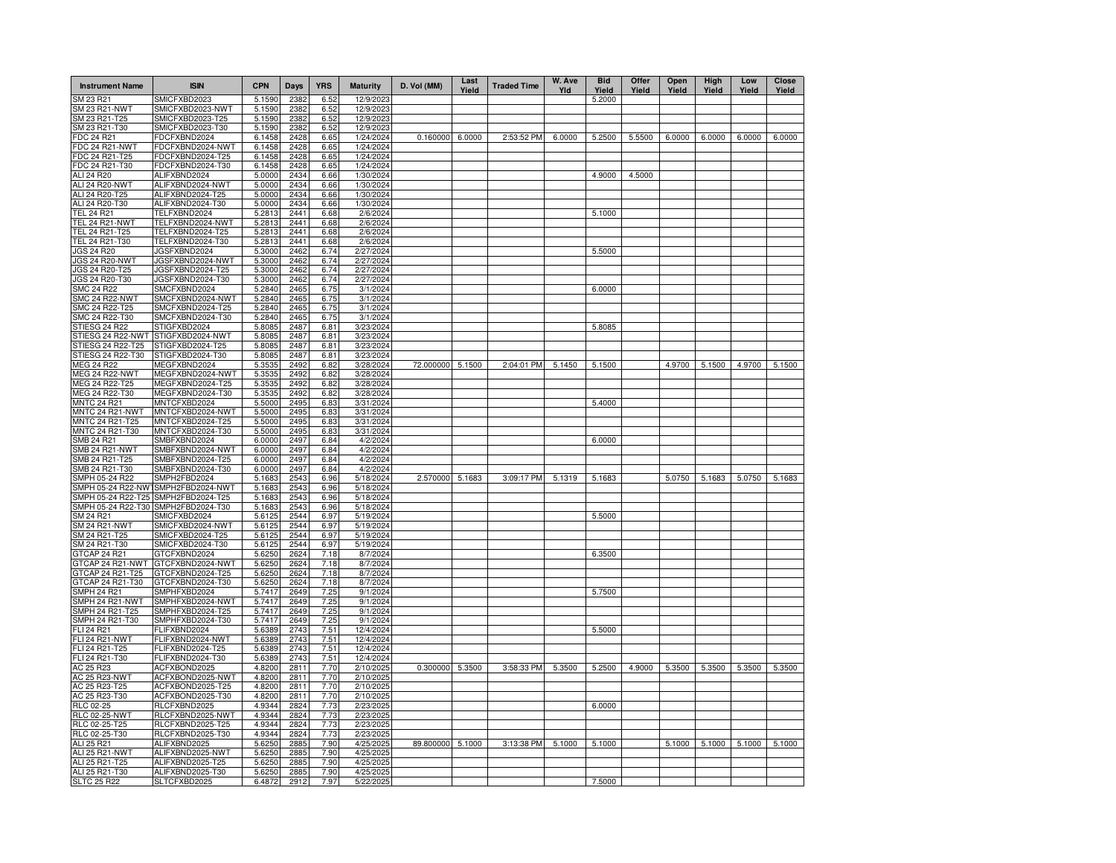| <b>Instrument Name</b>                                    | <b>ISIN</b>                          | <b>CPN</b>       | Days         | <b>YRS</b>   | <b>Maturity</b>        | D. Vol (MM)       | Last<br>Yield | <b>Traded Time</b> | W. Ave<br>Yld | <b>Bid</b><br>Yield | Offer<br>Yield | Open<br>Yield | High<br>Yield | Low<br>Yield | Close<br>Yield |
|-----------------------------------------------------------|--------------------------------------|------------------|--------------|--------------|------------------------|-------------------|---------------|--------------------|---------------|---------------------|----------------|---------------|---------------|--------------|----------------|
| SM 23 R21                                                 | SMICFXBD2023                         | 5.1590           | 2382         | 6.52         | 12/9/2023              |                   |               |                    |               | 5.2000              |                |               |               |              |                |
| SM 23 R21-NWT                                             | SMICFXBD2023-NWT                     | 5.1590           | 2382         | 6.52         | 12/9/2023              |                   |               |                    |               |                     |                |               |               |              |                |
| SM 23 R21-T25<br>SM 23 R21-T30                            | SMICFXBD2023-T25<br>SMICFXBD2023-T30 | 5.1590<br>5.1590 | 2382<br>2382 | 6.52         | 12/9/2023<br>12/9/2023 |                   |               |                    |               |                     |                |               |               |              |                |
| FDC 24 R21                                                | FDCFXBND2024                         | 6.1458           | 2428         | 6.52<br>6.65 | 1/24/2024              | $0.160000$ 6.0000 |               | 2:53:52 PM         | 6.0000        | 5.2500              | 5.5500         | 6.0000        | 6.0000        | 6.0000       | 6.0000         |
| FDC 24 R21-NWT                                            | FDCFXBND2024-NWT                     | 6.1458           | 2428         | 6.65         | 1/24/2024              |                   |               |                    |               |                     |                |               |               |              |                |
| FDC 24 R21-T25                                            | FDCFXBND2024-T25                     | 6.1458           | 2428         | 6.65         | 1/24/2024              |                   |               |                    |               |                     |                |               |               |              |                |
| FDC 24 R21-T30                                            | FDCFXBND2024-T30                     | 6.1458           | 2428         | 6.65         | 1/24/2024              |                   |               |                    |               |                     |                |               |               |              |                |
| ALI 24 R20                                                | ALIFXBND2024                         | 5.0000           | 2434         | 6.66         | 1/30/2024              |                   |               |                    |               | 4.9000              | 4.5000         |               |               |              |                |
| ALI 24 R20-NWT<br>ALI 24 R20-T25                          | ALIFXBND2024-NWT                     | 5.0000           | 2434<br>2434 | 6.66         | 1/30/2024              |                   |               |                    |               |                     |                |               |               |              |                |
| ALI 24 R20-T30                                            | ALIFXBND2024-T25<br>ALIFXBND2024-T30 | 5.0000<br>5.0000 | 2434         | 6.66<br>6.66 | 1/30/2024<br>1/30/2024 |                   |               |                    |               |                     |                |               |               |              |                |
| <b>TEL 24 R21</b>                                         | TELFXBND2024                         | 5.2813           | 2441         | 6.68         | 2/6/2024               |                   |               |                    |               | 5.1000              |                |               |               |              |                |
| TEL 24 R21-NWT                                            | TELFXBND2024-NWT                     | 5.2813           | 2441         | 6.68         | 2/6/2024               |                   |               |                    |               |                     |                |               |               |              |                |
| TEL 24 R21-T25                                            | TELFXBND2024-T25                     | 5.2813           | 2441         | 6.68         | 2/6/2024               |                   |               |                    |               |                     |                |               |               |              |                |
| TEL 24 R21-T30                                            | TELFXBND2024-T30                     | 5.2813           | 2441         | 6.68         | 2/6/2024               |                   |               |                    |               |                     |                |               |               |              |                |
| JGS 24 R20                                                | JGSFXBND2024                         | 5.3000           | 2462         | 6.74         | 2/27/2024              |                   |               |                    |               | 5.5000              |                |               |               |              |                |
| JGS 24 R20-NWT                                            | JGSFXBND2024-NWT                     | 5.3000           | 2462         | 6.74         | 2/27/2024              |                   |               |                    |               |                     |                |               |               |              |                |
| JGS 24 R20-T25<br>JGS 24 R20-T30                          | JGSFXBND2024-T25<br>JGSFXBND2024-T30 | 5.3000<br>5.3000 | 2462<br>2462 | 6.74<br>6.74 | 2/27/2024<br>2/27/2024 |                   |               |                    |               |                     |                |               |               |              |                |
| <b>SMC 24 R22</b>                                         | SMCFXBND2024                         | 5.2840           | 2465         | 6.75         | 3/1/2024               |                   |               |                    |               | 6.0000              |                |               |               |              |                |
| <b>SMC 24 R22-NWT</b>                                     | SMCFXBND2024-NWT                     | 5.2840           | 2465         | 6.75         | 3/1/2024               |                   |               |                    |               |                     |                |               |               |              |                |
| SMC 24 R22-T25                                            | SMCFXBND2024-T25                     | 5.2840           | 2465         | 6.75         | 3/1/2024               |                   |               |                    |               |                     |                |               |               |              |                |
| SMC 24 R22-T30                                            | SMCFXBND2024-T30                     | 5.2840           | 2465         | 6.75         | 3/1/2024               |                   |               |                    |               |                     |                |               |               |              |                |
| STIESG 24 R22                                             | STIGFXBD2024                         | 5.8085           | 2487         | 6.81         | 3/23/2024              |                   |               |                    |               | 5.8085              |                |               |               |              |                |
| STIESG 24 R22-NWT                                         | STIGFXBD2024-NWT                     | 5.8085           | 2487         | 6.81         | 3/23/2024              |                   |               |                    |               |                     |                |               |               |              |                |
| STIESG 24 R22-T25<br>STIESG 24 R22-T30                    | STIGFXBD2024-T25<br>STIGFXBD2024-T30 | 5.8085<br>5.8085 | 2487<br>2487 | 6.81         | 3/23/2024<br>3/23/2024 |                   |               |                    |               |                     |                |               |               |              |                |
| <b>MEG 24 R22</b>                                         | MEGFXBND2024                         | 5.3535           | 2492         | 6.81<br>6.82 | 3/28/2024              | 72.000000 5.1500  |               | 2:04:01 PM         | 5.1450        | 5.1500              |                | 4.9700        | 5.1500        | 4.9700       | 5.1500         |
| MEG 24 R22-NWT                                            | MEGFXBND2024-NWT                     | 5.3535           | 2492         | 6.82         | 3/28/2024              |                   |               |                    |               |                     |                |               |               |              |                |
| MEG 24 R22-T25                                            | MEGFXBND2024-T25                     | 5.3535           | 2492         | 6.82         | 3/28/2024              |                   |               |                    |               |                     |                |               |               |              |                |
| MEG 24 R22-T30                                            | MEGFXBND2024-T30                     | 5.3535           | 2492         | 6.82         | 3/28/2024              |                   |               |                    |               |                     |                |               |               |              |                |
| <b>MNTC 24 R21</b>                                        | MNTCFXBD2024                         | 5.5000           | 2495         | 6.83         | 3/31/2024              |                   |               |                    |               | 5.4000              |                |               |               |              |                |
| MNTC 24 R21-NWT                                           | MNTCFXBD2024-NWT                     | 5.5000           | 2495         | 6.83         | 3/31/2024              |                   |               |                    |               |                     |                |               |               |              |                |
| MNTC 24 R21-T25                                           | MNTCFXBD2024-T25                     | 5.5000           | 2495<br>2495 | 6.83         | 3/31/2024              |                   |               |                    |               |                     |                |               |               |              |                |
| MNTC 24 R21-T30<br>SMB 24 R21                             | MNTCFXBD2024-T30<br>SMBFXBND2024     | 5.5000<br>6.0000 | 2497         | 6.83<br>6.84 | 3/31/2024<br>4/2/2024  |                   |               |                    |               | 6.0000              |                |               |               |              |                |
| SMB 24 R21-NWT                                            | SMBFXBND2024-NWT                     | 6.0000           | 2497         | 6.84         | 4/2/2024               |                   |               |                    |               |                     |                |               |               |              |                |
| SMB 24 R21-T25                                            | SMBFXBND2024-T25                     | 6.0000           | 2497         | 6.84         | 4/2/2024               |                   |               |                    |               |                     |                |               |               |              |                |
| SMB 24 R21-T30                                            | SMBFXBND2024-T30                     | 6.0000           | 2497         | 6.84         | 4/2/2024               |                   |               |                    |               |                     |                |               |               |              |                |
| SMPH 05-24 R22                                            | SMPH2FBD2024                         | 5.1683           | 2543         | 6.96         | 5/18/2024              | 2.570000 5.1683   |               | 3:09:17 PM         | 5.1319        | 5.1683              |                | 5.0750        | 5.1683        | 5.0750       | 5.1683         |
| SMPH 05-24 R22-NW                                         | SMPH2FBD2024-NWT                     | 5.1683           | 2543         | 6.96         | 5/18/2024              |                   |               |                    |               |                     |                |               |               |              |                |
| SMPH 05-24 R22-T25<br>SMPH 05-24 R22-T30 SMPH2FBD2024-T30 | SMPH2FBD2024-T25                     | 5.1683<br>5.1683 | 2543<br>2543 | 6.96<br>6.96 | 5/18/2024<br>5/18/2024 |                   |               |                    |               |                     |                |               |               |              |                |
| SM 24 R21                                                 | SMICFXBD2024                         | 5.6125           | 2544         | 6.97         | 5/19/2024              |                   |               |                    |               | 5.5000              |                |               |               |              |                |
| SM 24 R21-NWT                                             | SMICFXBD2024-NWT                     | 5.6125           | 2544         | 6.97         | 5/19/2024              |                   |               |                    |               |                     |                |               |               |              |                |
| SM 24 R21-T25                                             | SMICFXBD2024-T25                     | 5.6125           | 2544         | 6.97         | 5/19/2024              |                   |               |                    |               |                     |                |               |               |              |                |
| SM 24 R21-T30                                             | SMICFXBD2024-T30                     | 5.6125           | 2544         | 6.97         | 5/19/2024              |                   |               |                    |               |                     |                |               |               |              |                |
| GTCAP 24 R21                                              | GTCFXBND2024                         | 5.6250           | 2624         | 7.18         | 8/7/2024               |                   |               |                    |               | 6.3500              |                |               |               |              |                |
| GTCAP 24 R21-NWT                                          | GTCFXBND2024-NWT                     | 5.6250           | 2624<br>2624 | 7.18         | 8/7/2024               |                   |               |                    |               |                     |                |               |               |              |                |
| GTCAP 24 R21-T25<br>GTCAP 24 R21-T30                      | GTCFXBND2024-T25<br>GTCFXBND2024-T30 | 5.6250<br>5.6250 | 2624         | 7.18<br>7.18 | 8/7/2024<br>8/7/2024   |                   |               |                    |               |                     |                |               |               |              |                |
| <b>SMPH 24 R21</b>                                        | SMPHFXBD2024                         | 5.7417           | 2649         | 7.25         | 9/1/2024               |                   |               |                    |               | 5.7500              |                |               |               |              |                |
| SMPH 24 R21-NWT                                           | SMPHFXBD2024-NWT                     | 5.7417           | 2649         | 7.25         | 9/1/2024               |                   |               |                    |               |                     |                |               |               |              |                |
| SMPH 24 R21-T25                                           | SMPHFXBD2024-T25                     | 5.7417           | 2649         | 7.25         | 9/1/2024               |                   |               |                    |               |                     |                |               |               |              |                |
| SMPH 24 R21-T30                                           | SMPHFXBD2024-T30                     | 5.7417           | 2649         | 7.25         | 9/1/2024               |                   |               |                    |               |                     |                |               |               |              |                |
| <b>FLI 24 R21</b>                                         | FLIFXBND2024                         | 5.6389           | 2743<br>2743 | 7.51<br>7.51 | 12/4/2024              |                   |               |                    |               | 5.5000              |                |               |               |              |                |
| FLI 24 R21-NWT<br>FLI 24 R21-T25                          | FLIFXBND2024-NWT<br>FLIFXBND2024-T25 | 5.6389<br>5.6389 | 2743         | 7.51         | 12/4/2024<br>12/4/2024 |                   |               |                    |               |                     |                |               |               |              |                |
| FLI 24 R21-T30                                            | FLIFXBND2024-T30                     | 5.6389           | 2743         | 7.51         | 12/4/2024              |                   |               |                    |               |                     |                |               |               |              |                |
| AC 25 R23                                                 | ACFXBOND2025                         | 4.8200           | 2811         | 7.70         | 2/10/2025              | 0.300000          | 5.3500        | 3:58:33 PM         | 5.3500        | 5.2500              | 4.9000         | 5.3500        | 5.3500        | 5.3500       | 5.3500         |
| <b>AC 25 R23-NWT</b>                                      | ACFXBOND2025-NWT                     | 4.8200           | 2811         | 7.70         | 2/10/2025              |                   |               |                    |               |                     |                |               |               |              |                |
| AC 25 R23-T25                                             | ACFXBOND2025-T25                     | 4.8200           | 2811         | 7.70         | 2/10/2025              |                   |               |                    |               |                     |                |               |               |              |                |
| AC 25 R23-T30                                             | ACFXBOND2025-T30                     | 4.8200           | 2811         | 7.70         | 2/10/2025              |                   |               |                    |               |                     |                |               |               |              |                |
| <b>RLC 02-25</b>                                          | RLCFXBND2025                         | 4.9344           | 2824         | 7.73         | 2/23/2025              |                   |               |                    |               | 6.0000              |                |               |               |              |                |
| <b>RLC 02-25-NWT</b><br>RLC 02-25-T25                     | RLCFXBND2025-NWT<br>RLCFXBND2025-T25 | 4.9344<br>4.9344 | 2824<br>2824 | 7.73<br>7.73 | 2/23/2025<br>2/23/2025 |                   |               |                    |               |                     |                |               |               |              |                |
| RLC 02-25-T30                                             | RLCFXBND2025-T30                     | 4.9344           | 2824         | 7.73         | 2/23/2025              |                   |               |                    |               |                     |                |               |               |              |                |
| ALI 25 R21                                                | ALIFXBND2025                         | 5.6250           | 2885         | 7.90         | 4/25/2025              | 89.800000 5.1000  |               | 3:13:38 PM         | 5.1000        | 5.1000              |                | 5.1000        | 5.1000        | 5.1000       | 5.1000         |
| <b>ALI 25 R21-NWT</b>                                     | ALIFXBND2025-NWT                     | 5.6250           | 2885         | 7.90         | 4/25/2025              |                   |               |                    |               |                     |                |               |               |              |                |
| ALI 25 R21-T25                                            | ALIFXBND2025-T25                     | 5.6250           | 2885         | 7.90         | 4/25/2025              |                   |               |                    |               |                     |                |               |               |              |                |
| ALI 25 R21-T30                                            | ALIFXBND2025-T30                     | 5.6250           | 2885         | 7.90         | 4/25/2025              |                   |               |                    |               |                     |                |               |               |              |                |
| <b>SLTC 25 R22</b>                                        | SLTCFXBD2025                         | 6.4872           | 2912         | 7.97         | 5/22/2025              |                   |               |                    |               | 7.5000              |                |               |               |              |                |